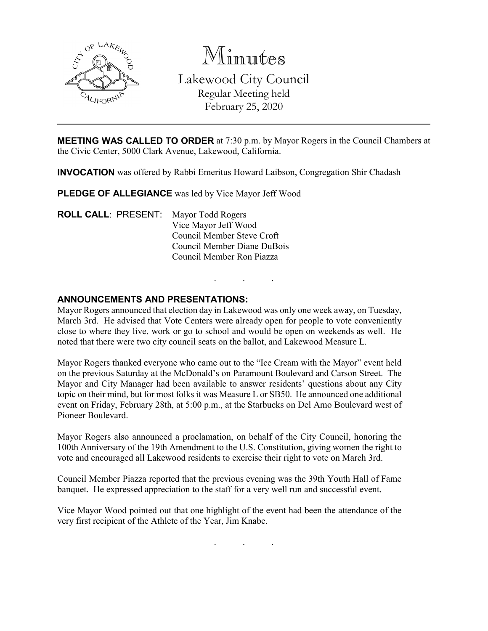

Minutes

Lakewood City Council Regular Meeting held February 25, 2020

**MEETING WAS CALLED TO ORDER** at 7:30 p.m. by Mayor Rogers in the Council Chambers at the Civic Center, 5000 Clark Avenue, Lakewood, California.

**INVOCATION** was offered by Rabbi Emeritus Howard Laibson, Congregation Shir Chadash

**PLEDGE OF ALLEGIANCE** was led by Vice Mayor Jeff Wood

**ROLL CALL**: PRESENT: Mayor Todd Rogers Vice Mayor Jeff Wood Council Member Steve Croft Council Member Diane DuBois Council Member Ron Piazza

# **ANNOUNCEMENTS AND PRESENTATIONS:**

Mayor Rogers announced that election day in Lakewood was only one week away, on Tuesday, March 3rd. He advised that Vote Centers were already open for people to vote conveniently close to where they live, work or go to school and would be open on weekends as well. He noted that there were two city council seats on the ballot, and Lakewood Measure L.

. . .

Mayor Rogers thanked everyone who came out to the "Ice Cream with the Mayor" event held on the previous Saturday at the McDonald's on Paramount Boulevard and Carson Street. The Mayor and City Manager had been available to answer residents' questions about any City topic on their mind, but for most folks it was Measure L or SB50. He announced one additional event on Friday, February 28th, at 5:00 p.m., at the Starbucks on Del Amo Boulevard west of Pioneer Boulevard.

Mayor Rogers also announced a proclamation, on behalf of the City Council, honoring the 100th Anniversary of the 19th Amendment to the U.S. Constitution, giving women the right to vote and encouraged all Lakewood residents to exercise their right to vote on March 3rd.

Council Member Piazza reported that the previous evening was the 39th Youth Hall of Fame banquet. He expressed appreciation to the staff for a very well run and successful event.

Vice Mayor Wood pointed out that one highlight of the event had been the attendance of the very first recipient of the Athlete of the Year, Jim Knabe.

. . .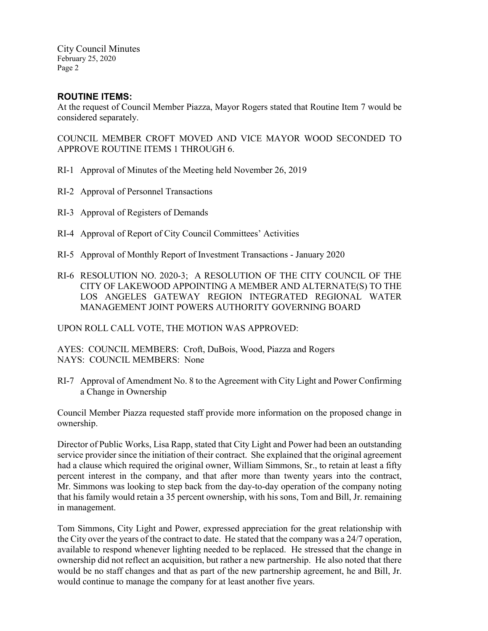City Council Minutes February 25, 2020 Page 2

# **ROUTINE ITEMS:**

At the request of Council Member Piazza, Mayor Rogers stated that Routine Item 7 would be considered separately.

COUNCIL MEMBER CROFT MOVED AND VICE MAYOR WOOD SECONDED TO APPROVE ROUTINE ITEMS 1 THROUGH 6.

- RI-1 Approval of Minutes of the Meeting held November 26, 2019
- RI-2 Approval of Personnel Transactions
- RI-3 Approval of Registers of Demands
- RI-4 Approval of Report of City Council Committees' Activities
- RI-5 Approval of Monthly Report of Investment Transactions January 2020
- RI-6 RESOLUTION NO. 2020-3; A RESOLUTION OF THE CITY COUNCIL OF THE CITY OF LAKEWOOD APPOINTING A MEMBER AND ALTERNATE(S) TO THE LOS ANGELES GATEWAY REGION INTEGRATED REGIONAL WATER MANAGEMENT JOINT POWERS AUTHORITY GOVERNING BOARD

UPON ROLL CALL VOTE, THE MOTION WAS APPROVED:

AYES: COUNCIL MEMBERS: Croft, DuBois, Wood, Piazza and Rogers NAYS: COUNCIL MEMBERS: None

RI-7 Approval of Amendment No. 8 to the Agreement with City Light and Power Confirming a Change in Ownership

Council Member Piazza requested staff provide more information on the proposed change in ownership.

Director of Public Works, Lisa Rapp, stated that City Light and Power had been an outstanding service provider since the initiation of their contract. She explained that the original agreement had a clause which required the original owner, William Simmons, Sr., to retain at least a fifty percent interest in the company, and that after more than twenty years into the contract, Mr. Simmons was looking to step back from the day-to-day operation of the company noting that his family would retain a 35 percent ownership, with his sons, Tom and Bill, Jr. remaining in management.

Tom Simmons, City Light and Power, expressed appreciation for the great relationship with the City over the years of the contract to date. He stated that the company was a 24/7 operation, available to respond whenever lighting needed to be replaced. He stressed that the change in ownership did not reflect an acquisition, but rather a new partnership. He also noted that there would be no staff changes and that as part of the new partnership agreement, he and Bill, Jr. would continue to manage the company for at least another five years.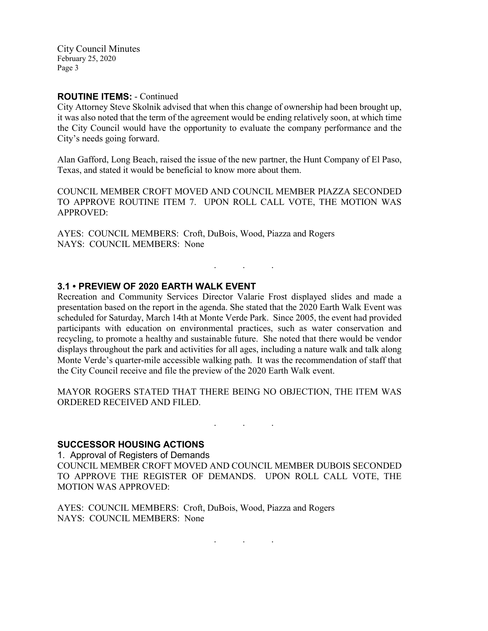City Council Minutes February 25, 2020 Page 3

#### **ROUTINE ITEMS:** - Continued

City Attorney Steve Skolnik advised that when this change of ownership had been brought up, it was also noted that the term of the agreement would be ending relatively soon, at which time the City Council would have the opportunity to evaluate the company performance and the City's needs going forward.

Alan Gafford, Long Beach, raised the issue of the new partner, the Hunt Company of El Paso, Texas, and stated it would be beneficial to know more about them.

COUNCIL MEMBER CROFT MOVED AND COUNCIL MEMBER PIAZZA SECONDED TO APPROVE ROUTINE ITEM 7. UPON ROLL CALL VOTE, THE MOTION WAS APPROVED:

. . .

AYES: COUNCIL MEMBERS: Croft, DuBois, Wood, Piazza and Rogers NAYS: COUNCIL MEMBERS: None

# **3.1 • PREVIEW OF 2020 EARTH WALK EVENT**

Recreation and Community Services Director Valarie Frost displayed slides and made a presentation based on the report in the agenda. She stated that the 2020 Earth Walk Event was scheduled for Saturday, March 14th at Monte Verde Park. Since 2005, the event had provided participants with education on environmental practices, such as water conservation and recycling, to promote a healthy and sustainable future. She noted that there would be vendor displays throughout the park and activities for all ages, including a nature walk and talk along Monte Verde's quarter-mile accessible walking path. It was the recommendation of staff that the City Council receive and file the preview of the 2020 Earth Walk event.

MAYOR ROGERS STATED THAT THERE BEING NO OBJECTION, THE ITEM WAS ORDERED RECEIVED AND FILED.

. . .

#### **SUCCESSOR HOUSING ACTIONS**

1. Approval of Registers of Demands COUNCIL MEMBER CROFT MOVED AND COUNCIL MEMBER DUBOIS SECONDED TO APPROVE THE REGISTER OF DEMANDS. UPON ROLL CALL VOTE, THE MOTION WAS APPROVED:

AYES: COUNCIL MEMBERS: Croft, DuBois, Wood, Piazza and Rogers NAYS: COUNCIL MEMBERS: None

. . .